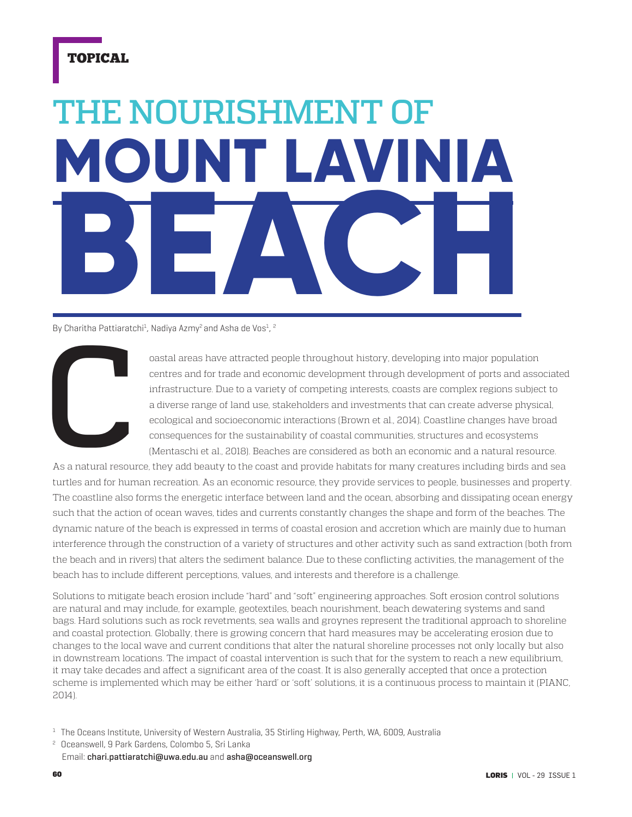## TOPICAL

## **MOUNT LAVINIA BEACH** THE NOURISHMENT OF

By Charitha Pattiaratchi<sup>1</sup>, Nadiya Azmy<sup>2</sup> and Asha de Vos<sup>1</sup>, <sup>2</sup>



Coastal areas have attracted people throughout history, developing into major population centres and for trade and economic development through development of ports and association interactions. Due to a variety of competi centres and for trade and economic development through development of ports and associated infrastructure. Due to a variety of competing interests, coasts are complex regions subject to a diverse range of land use, stakeholders and investments that can create adverse physical, ecological and socioeconomic interactions (Brown et al., 2014). Coastline changes have broad consequences for the sustainability of coastal communities, structures and ecosystems (Mentaschi et al., 2018). Beaches are considered as both an economic and a natural resource.

As a natural resource, they add beauty to the coast and provide habitats for many creatures including birds and sea turtles and for human recreation. As an economic resource, they provide services to people, businesses and property. The coastline also forms the energetic interface between land and the ocean, absorbing and dissipating ocean energy such that the action of ocean waves, tides and currents constantly changes the shape and form of the beaches. The dynamic nature of the beach is expressed in terms of coastal erosion and accretion which are mainly due to human interference through the construction of a variety of structures and other activity such as sand extraction (both from the beach and in rivers) that alters the sediment balance. Due to these conflicting activities, the management of the beach has to include different perceptions, values, and interests and therefore is a challenge.

Solutions to mitigate beach erosion include "hard" and "soft" engineering approaches. Soft erosion control solutions are natural and may include, for example, geotextiles, beach nourishment, beach dewatering systems and sand bags. Hard solutions such as rock revetments, sea walls and groynes represent the traditional approach to shoreline and coastal protection. Globally, there is growing concern that hard measures may be accelerating erosion due to changes to the local wave and current conditions that alter the natural shoreline processes not only locally but also in downstream locations. The impact of coastal intervention is such that for the system to reach a new equilibrium, it may take decades and affect a significant area of the coast. It is also generally accepted that once a protection scheme is implemented which may be either 'hard' or 'soft' solutions, it is a continuous process to maintain it (PIANC, 2014).

 $1$  The Oceans Institute, University of Western Australia, 35 Stirling Highway, Perth, WA, 6009, Australia

2 Oceanswell, 9 Park Gardens, Colombo 5, Sri Lanka Email: chari.pattiaratchi@uwa.edu.au and asha@oceanswell.org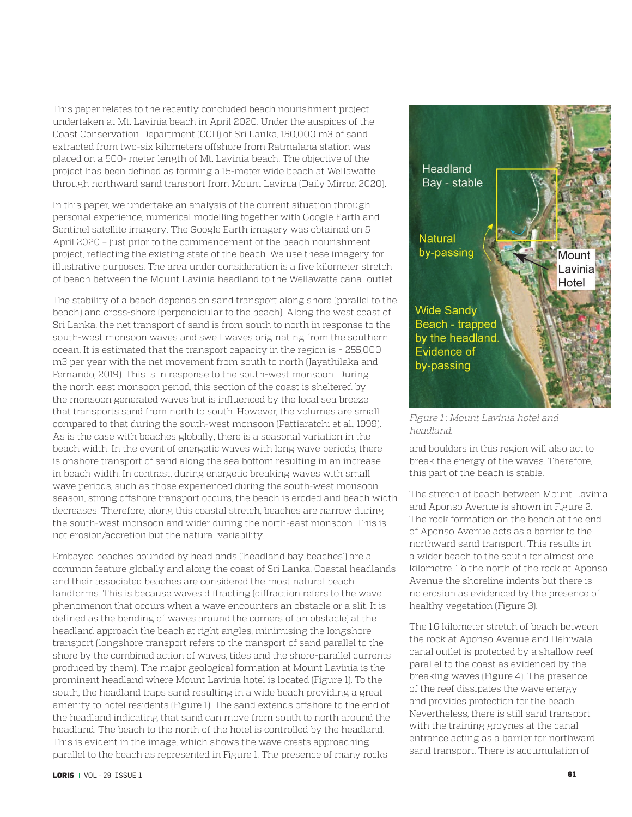This paper relates to the recently concluded beach nourishment project undertaken at Mt. Lavinia beach in April 2020. Under the auspices of the Coast Conservation Department (CCD) of Sri Lanka, 150,000 m3 of sand extracted from two-six kilometers offshore from Ratmalana station was placed on a 500- meter length of Mt. Lavinia beach. The objective of the project has been defined as forming a 15-meter wide beach at Wellawatte through northward sand transport from Mount Lavinia (Daily Mirror, 2020).

In this paper, we undertake an analysis of the current situation through personal experience, numerical modelling together with Google Earth and Sentinel satellite imagery. The Google Earth imagery was obtained on 5 April 2020 – just prior to the commencement of the beach nourishment project, reflecting the existing state of the beach. We use these imagery for illustrative purposes. The area under consideration is a five kilometer stretch of beach between the Mount Lavinia headland to the Wellawatte canal outlet.

The stability of a beach depends on sand transport along shore (parallel to the beach) and cross-shore (perpendicular to the beach). Along the west coast of Sri Lanka, the net transport of sand is from south to north in response to the south-west monsoon waves and swell waves originating from the southern ocean. It is estimated that the transport capacity in the region is ~ 255,000 m3 per year with the net movement from south to north (Jayathilaka and Fernando, 2019). This is in response to the south-west monsoon. During the north east monsoon period, this section of the coast is sheltered by the monsoon generated waves but is influenced by the local sea breeze that transports sand from north to south. However, the volumes are small compared to that during the south-west monsoon (Pattiaratchi et al., 1999). As is the case with beaches globally, there is a seasonal variation in the beach width. In the event of energetic waves with long wave periods, there is onshore transport of sand along the sea bottom resulting in an increase in beach width. In contrast, during energetic breaking waves with small wave periods, such as those experienced during the south-west monsoon season, strong offshore transport occurs, the beach is eroded and beach width decreases. Therefore, along this coastal stretch, beaches are narrow during the south-west monsoon and wider during the north-east monsoon. This is not erosion/accretion but the natural variability.

Embayed beaches bounded by headlands ('headland bay beaches') are a common feature globally and along the coast of Sri Lanka. Coastal headlands and their associated beaches are considered the most natural beach landforms. This is because waves diffracting (diffraction refers to the wave phenomenon that occurs when a wave encounters an obstacle or a slit. It is defined as the bending of waves around the corners of an obstacle) at the headland approach the beach at right angles, minimising the longshore transport (longshore transport refers to the transport of sand parallel to the shore by the combined action of waves, tides and the shore-parallel currents produced by them). The major geological formation at Mount Lavinia is the prominent headland where Mount Lavinia hotel is located (Figure 1). To the south, the headland traps sand resulting in a wide beach providing a great amenity to hotel residents (Figure 1). The sand extends offshore to the end of the headland indicating that sand can move from south to north around the headland. The beach to the north of the hotel is controlled by the headland. This is evident in the image, which shows the wave crests approaching parallel to the beach as represented in Figure 1. The presence of many rocks



Figure 1: Mount Lavinia hotel and headland.

and boulders in this region will also act to break the energy of the waves. Therefore, this part of the beach is stable.

The stretch of beach between Mount Lavinia and Aponso Avenue is shown in Figure 2. The rock formation on the beach at the end of Aponso Avenue acts as a barrier to the northward sand transport. This results in a wider beach to the south for almost one kilometre. To the north of the rock at Aponso Avenue the shoreline indents but there is no erosion as evidenced by the presence of healthy vegetation (Figure 3).

The 1.6 kilometer stretch of beach between the rock at Aponso Avenue and Dehiwala canal outlet is protected by a shallow reef parallel to the coast as evidenced by the breaking waves (Figure 4). The presence of the reef dissipates the wave energy and provides protection for the beach. Nevertheless, there is still sand transport with the training groynes at the canal entrance acting as a barrier for northward sand transport. There is accumulation of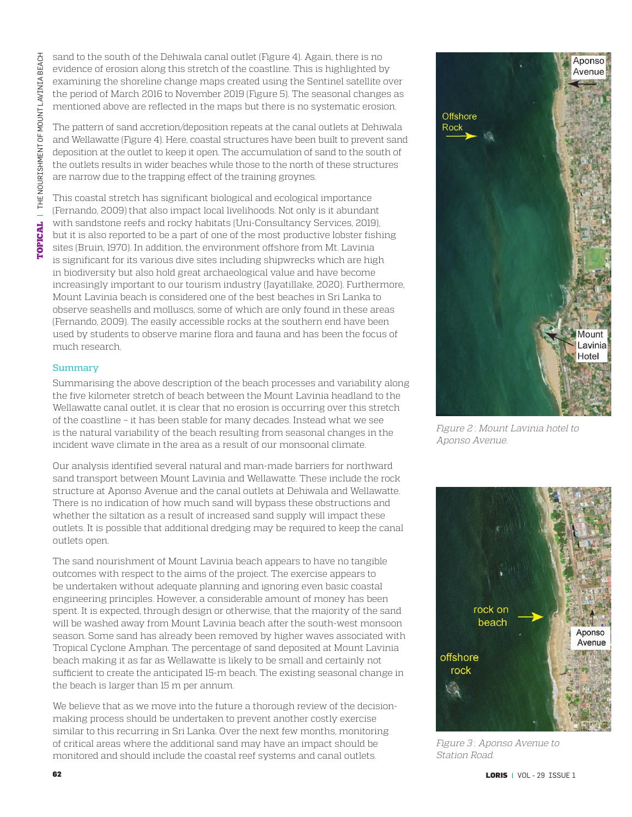**[OPICAL** | THE NOURISHMENT OF MOUNT LAVINIA BEACH TOPICAL THE NOURISHMENT OF MOUNT LAVINIA BEACH

sand to the south of the Dehiwala canal outlet (Figure 4). Again, there is no evidence of erosion along this stretch of the coastline. This is highlighted by examining the shoreline change maps created using the Sentinel satellite over the period of March 2016 to November 2019 (Figure 5). The seasonal changes as mentioned above are reflected in the maps but there is no systematic erosion.

The pattern of sand accretion/deposition repeats at the canal outlets at Dehiwala and Wellawatte (Figure 4). Here, coastal structures have been built to prevent sand deposition at the outlet to keep it open. The accumulation of sand to the south of the outlets results in wider beaches while those to the north of these structures are narrow due to the trapping effect of the training groynes.

This coastal stretch has significant biological and ecological importance (Fernando, 2009) that also impact local livelihoods. Not only is it abundant with sandstone reefs and rocky habitats (Uni-Consultancy Services, 2019), but it is also reported to be a part of one of the most productive lobster fishing sites (Bruin, 1970). In addition, the environment offshore from Mt. Lavinia is significant for its various dive sites including shipwrecks which are high in biodiversity but also hold great archaeological value and have become increasingly important to our tourism industry (Jayatillake, 2020). Furthermore, Mount Lavinia beach is considered one of the best beaches in Sri Lanka to observe seashells and molluscs, some of which are only found in these areas (Fernando, 2009). The easily accessible rocks at the southern end have been used by students to observe marine flora and fauna and has been the focus of much research.

## **Summary**

Summarising the above description of the beach processes and variability along the five kilometer stretch of beach between the Mount Lavinia headland to the Wellawatte canal outlet, it is clear that no erosion is occurring over this stretch of the coastline – it has been stable for many decades. Instead what we see is the natural variability of the beach resulting from seasonal changes in the incident wave climate in the area as a result of our monsoonal climate.

Our analysis identified several natural and man-made barriers for northward sand transport between Mount Lavinia and Wellawatte. These include the rock structure at Aponso Avenue and the canal outlets at Dehiwala and Wellawatte. There is no indication of how much sand will bypass these obstructions and whether the siltation as a result of increased sand supply will impact these outlets. It is possible that additional dredging may be required to keep the canal outlets open.

The sand nourishment of Mount Lavinia beach appears to have no tangible outcomes with respect to the aims of the project. The exercise appears to be undertaken without adequate planning and ignoring even basic coastal engineering principles. However, a considerable amount of money has been spent. It is expected, through design or otherwise, that the majority of the sand will be washed away from Mount Lavinia beach after the south-west monsoon season. Some sand has already been removed by higher waves associated with Tropical Cyclone Amphan. The percentage of sand deposited at Mount Lavinia beach making it as far as Wellawatte is likely to be small and certainly not sufficient to create the anticipated 15-m beach. The existing seasonal change in the beach is larger than 15 m per annum.

We believe that as we move into the future a thorough review of the decisionmaking process should be undertaken to prevent another costly exercise similar to this recurring in Sri Lanka. Over the next few months, monitoring of critical areas where the additional sand may have an impact should be monitored and should include the coastal reef systems and canal outlets.



Figure 2 : Mount Lavinia hotel to Aponso Avenue.



Figure 3: Aponso Avenue to Station Road.